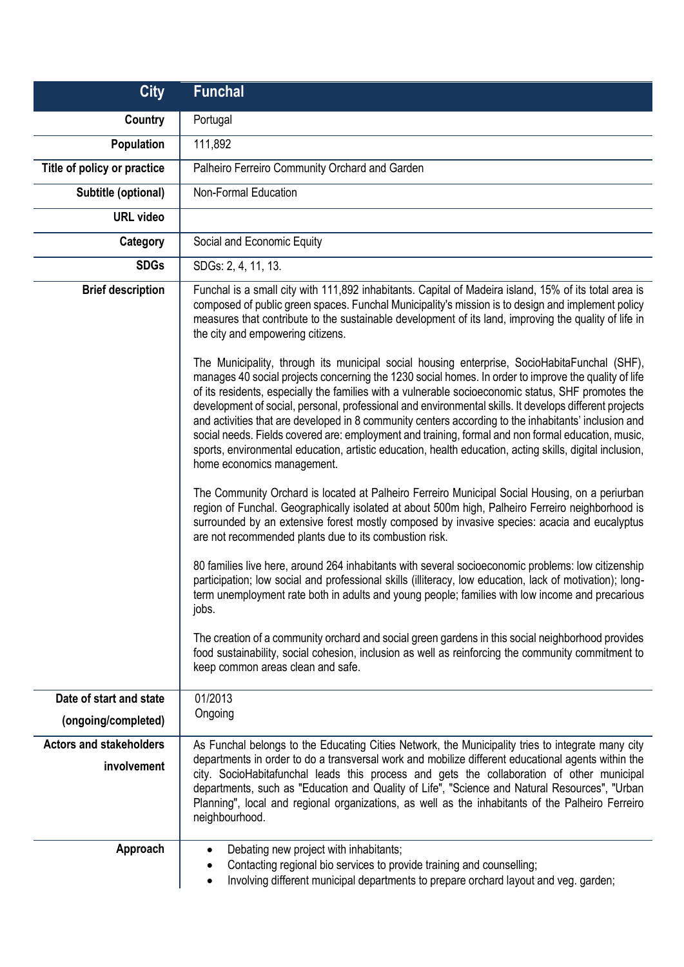| <b>City</b>                    | <b>Funchal</b>                                                                                                                                                                                                                                                                                                                                                                                                                                                                                                                                                                                                                                                               |
|--------------------------------|------------------------------------------------------------------------------------------------------------------------------------------------------------------------------------------------------------------------------------------------------------------------------------------------------------------------------------------------------------------------------------------------------------------------------------------------------------------------------------------------------------------------------------------------------------------------------------------------------------------------------------------------------------------------------|
| Country                        | Portugal                                                                                                                                                                                                                                                                                                                                                                                                                                                                                                                                                                                                                                                                     |
| Population                     | 111,892                                                                                                                                                                                                                                                                                                                                                                                                                                                                                                                                                                                                                                                                      |
| Title of policy or practice    | Palheiro Ferreiro Community Orchard and Garden                                                                                                                                                                                                                                                                                                                                                                                                                                                                                                                                                                                                                               |
| Subtitle (optional)            | Non-Formal Education                                                                                                                                                                                                                                                                                                                                                                                                                                                                                                                                                                                                                                                         |
| <b>URL</b> video               |                                                                                                                                                                                                                                                                                                                                                                                                                                                                                                                                                                                                                                                                              |
| Category                       | Social and Economic Equity                                                                                                                                                                                                                                                                                                                                                                                                                                                                                                                                                                                                                                                   |
| <b>SDGs</b>                    | SDGs: 2, 4, 11, 13.                                                                                                                                                                                                                                                                                                                                                                                                                                                                                                                                                                                                                                                          |
| <b>Brief description</b>       | Funchal is a small city with 111,892 inhabitants. Capital of Madeira island, 15% of its total area is<br>composed of public green spaces. Funchal Municipality's mission is to design and implement policy<br>measures that contribute to the sustainable development of its land, improving the quality of life in<br>the city and empowering citizens.<br>The Municipality, through its municipal social housing enterprise, SocioHabitaFunchal (SHF),                                                                                                                                                                                                                     |
|                                | manages 40 social projects concerning the 1230 social homes. In order to improve the quality of life<br>of its residents, especially the families with a vulnerable socioeconomic status, SHF promotes the<br>development of social, personal, professional and environmental skills. It develops different projects<br>and activities that are developed in 8 community centers according to the inhabitants' inclusion and<br>social needs. Fields covered are: employment and training, formal and non formal education, music,<br>sports, environmental education, artistic education, health education, acting skills, digital inclusion,<br>home economics management. |
|                                | The Community Orchard is located at Palheiro Ferreiro Municipal Social Housing, on a periurban<br>region of Funchal. Geographically isolated at about 500m high, Palheiro Ferreiro neighborhood is<br>surrounded by an extensive forest mostly composed by invasive species: acacia and eucalyptus<br>are not recommended plants due to its combustion risk.                                                                                                                                                                                                                                                                                                                 |
|                                | 80 families live here, around 264 inhabitants with several socioeconomic problems: low citizenship<br>participation; low social and professional skills (illiteracy, low education, lack of motivation); long-<br>term unemployment rate both in adults and young people; families with low income and precarious<br>jobs.                                                                                                                                                                                                                                                                                                                                                   |
|                                | The creation of a community orchard and social green gardens in this social neighborhood provides<br>food sustainability, social cohesion, inclusion as well as reinforcing the community commitment to<br>keep common areas clean and safe.                                                                                                                                                                                                                                                                                                                                                                                                                                 |
| Date of start and state        | 01/2013                                                                                                                                                                                                                                                                                                                                                                                                                                                                                                                                                                                                                                                                      |
| (ongoing/completed)            | Ongoing                                                                                                                                                                                                                                                                                                                                                                                                                                                                                                                                                                                                                                                                      |
| <b>Actors and stakeholders</b> | As Funchal belongs to the Educating Cities Network, the Municipality tries to integrate many city<br>departments in order to do a transversal work and mobilize different educational agents within the                                                                                                                                                                                                                                                                                                                                                                                                                                                                      |
| involvement                    | city. SocioHabitafunchal leads this process and gets the collaboration of other municipal<br>departments, such as "Education and Quality of Life", "Science and Natural Resources", "Urban<br>Planning", local and regional organizations, as well as the inhabitants of the Palheiro Ferreiro<br>neighbourhood.                                                                                                                                                                                                                                                                                                                                                             |
| Approach                       | Debating new project with inhabitants;<br>$\bullet$<br>Contacting regional bio services to provide training and counselling;<br>$\bullet$<br>Involving different municipal departments to prepare orchard layout and veg. garden;<br>$\bullet$                                                                                                                                                                                                                                                                                                                                                                                                                               |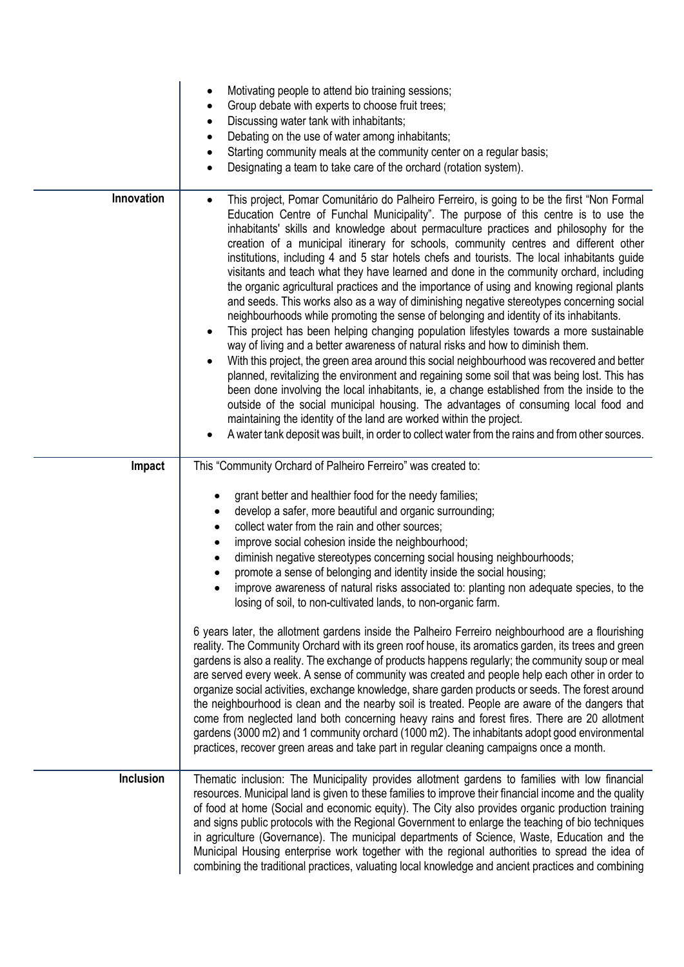|                  | Motivating people to attend bio training sessions;<br>٠<br>Group debate with experts to choose fruit trees;<br>٠<br>Discussing water tank with inhabitants;<br>٠<br>Debating on the use of water among inhabitants;<br>٠<br>Starting community meals at the community center on a regular basis;<br>$\bullet$<br>Designating a team to take care of the orchard (rotation system).                                                                                                                                                                                                                                                                                                                                                                                                                                                                                                                                                                                                                                                                                                                                                                                                                                                                                                                                                                                                                                                                                                                                                                                                                         |
|------------------|------------------------------------------------------------------------------------------------------------------------------------------------------------------------------------------------------------------------------------------------------------------------------------------------------------------------------------------------------------------------------------------------------------------------------------------------------------------------------------------------------------------------------------------------------------------------------------------------------------------------------------------------------------------------------------------------------------------------------------------------------------------------------------------------------------------------------------------------------------------------------------------------------------------------------------------------------------------------------------------------------------------------------------------------------------------------------------------------------------------------------------------------------------------------------------------------------------------------------------------------------------------------------------------------------------------------------------------------------------------------------------------------------------------------------------------------------------------------------------------------------------------------------------------------------------------------------------------------------------|
| Innovation       | This project, Pomar Comunitário do Palheiro Ferreiro, is going to be the first "Non Formal<br>$\bullet$<br>Education Centre of Funchal Municipality". The purpose of this centre is to use the<br>inhabitants' skills and knowledge about permaculture practices and philosophy for the<br>creation of a municipal itinerary for schools, community centres and different other<br>institutions, including 4 and 5 star hotels chefs and tourists. The local inhabitants guide<br>visitants and teach what they have learned and done in the community orchard, including<br>the organic agricultural practices and the importance of using and knowing regional plants<br>and seeds. This works also as a way of diminishing negative stereotypes concerning social<br>neighbourhoods while promoting the sense of belonging and identity of its inhabitants.<br>This project has been helping changing population lifestyles towards a more sustainable<br>way of living and a better awareness of natural risks and how to diminish them.<br>With this project, the green area around this social neighbourhood was recovered and better<br>planned, revitalizing the environment and regaining some soil that was being lost. This has<br>been done involving the local inhabitants, ie, a change established from the inside to the<br>outside of the social municipal housing. The advantages of consuming local food and<br>maintaining the identity of the land are worked within the project.<br>A water tank deposit was built, in order to collect water from the rains and from other sources. |
| Impact           | This "Community Orchard of Palheiro Ferreiro" was created to:                                                                                                                                                                                                                                                                                                                                                                                                                                                                                                                                                                                                                                                                                                                                                                                                                                                                                                                                                                                                                                                                                                                                                                                                                                                                                                                                                                                                                                                                                                                                              |
|                  | grant better and healthier food for the needy families;<br>develop a safer, more beautiful and organic surrounding;<br>٠<br>collect water from the rain and other sources;<br>$\bullet$<br>improve social cohesion inside the neighbourhood;<br>٠<br>diminish negative stereotypes concerning social housing neighbourhoods;<br>$\bullet$<br>promote a sense of belonging and identity inside the social housing;<br>$\bullet$<br>improve awareness of natural risks associated to: planting non adequate species, to the<br>$\bullet$<br>losing of soil, to non-cultivated lands, to non-organic farm.                                                                                                                                                                                                                                                                                                                                                                                                                                                                                                                                                                                                                                                                                                                                                                                                                                                                                                                                                                                                    |
|                  | 6 years later, the allotment gardens inside the Palheiro Ferreiro neighbourhood are a flourishing<br>reality. The Community Orchard with its green roof house, its aromatics garden, its trees and green<br>gardens is also a reality. The exchange of products happens regularly; the community soup or meal<br>are served every week. A sense of community was created and people help each other in order to<br>organize social activities, exchange knowledge, share garden products or seeds. The forest around<br>the neighbourhood is clean and the nearby soil is treated. People are aware of the dangers that<br>come from neglected land both concerning heavy rains and forest fires. There are 20 allotment<br>gardens (3000 m2) and 1 community orchard (1000 m2). The inhabitants adopt good environmental<br>practices, recover green areas and take part in regular cleaning campaigns once a month.                                                                                                                                                                                                                                                                                                                                                                                                                                                                                                                                                                                                                                                                                      |
| <b>Inclusion</b> | Thematic inclusion: The Municipality provides allotment gardens to families with low financial<br>resources. Municipal land is given to these families to improve their financial income and the quality<br>of food at home (Social and economic equity). The City also provides organic production training<br>and signs public protocols with the Regional Government to enlarge the teaching of bio techniques<br>in agriculture (Governance). The municipal departments of Science, Waste, Education and the<br>Municipal Housing enterprise work together with the regional authorities to spread the idea of<br>combining the traditional practices, valuating local knowledge and ancient practices and combining                                                                                                                                                                                                                                                                                                                                                                                                                                                                                                                                                                                                                                                                                                                                                                                                                                                                                   |